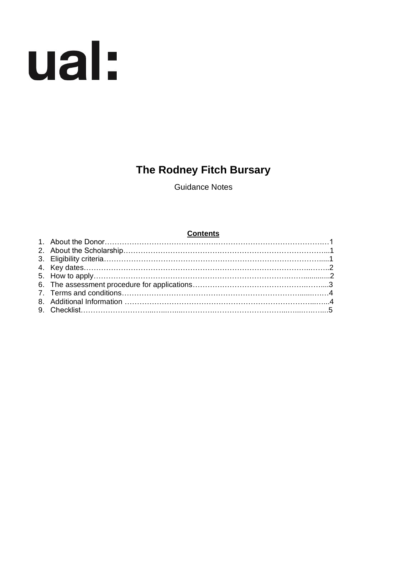# ual:

## **The Rodney Fitch Bursary**

Guidance Notes

#### **Contents**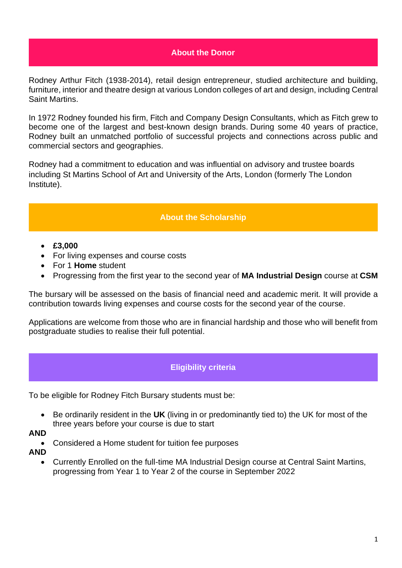#### **About the Donor**

Rodney Arthur Fitch (1938-2014), retail design entrepreneur, studied architecture and building, furniture, interior and theatre design at various London colleges of art and design, including Central Saint Martins.

In 1972 Rodney founded his firm, Fitch and Company Design Consultants, which as Fitch grew to become one of the largest and best-known design brands. During some 40 years of practice, Rodney built an unmatched portfolio of successful projects and connections across public and commercial sectors and geographies.

Rodney had a commitment to education and was influential on advisory and trustee boards including St Martins School of Art and University of the Arts, London (formerly The London Institute).

#### **About the Scholarship**

- **£3,000**
- For living expenses and course costs
- For 1 **Home** student
- Progressing from the first year to the second year of **MA Industrial Design** course at **CSM**

The bursary will be assessed on the basis of financial need and academic merit. It will provide a contribution towards living expenses and course costs for the second year of the course.

Applications are welcome from those who are in financial hardship and those who will benefit from postgraduate studies to realise their full potential.

#### **Eligibility criteria**

To be eligible for Rodney Fitch Bursary students must be:

- Be ordinarily resident in the **UK** (living in or predominantly tied to) the UK for most of the three years before your course is due to start
- **AND**
	- Considered a Home student for tuition fee purposes
- **AND**
	- Currently Enrolled on the full-time MA Industrial Design course at Central Saint Martins, progressing from Year 1 to Year 2 of the course in September 2022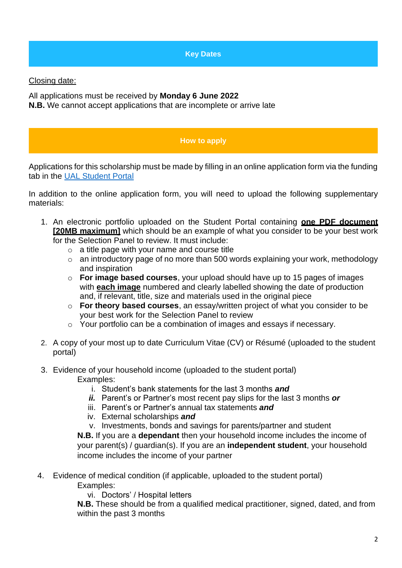**Key Dates**

Closing date:

All applications must be received by **Monday 6 June 2022 N.B.** We cannot accept applications that are incomplete or arrive late

#### **How to apply**

Applications for this scholarship must be made by filling in an online application form via the funding tab in the [UAL Student Portal](https://sits.arts.ac.uk/urd/sits.urd/run/SIW_LGN)

In addition to the online application form, you will need to upload the following supplementary materials:

- 1. An electronic portfolio uploaded on the Student Portal containing **one PDF document [20MB maximum]** which should be an example of what you consider to be your best work for the Selection Panel to review. It must include:
	- $\circ$  a title page with your name and course title
	- o an introductory page of no more than 500 words explaining your work, methodology and inspiration
	- o **For image based courses**, your upload should have up to 15 pages of images with **each image** numbered and clearly labelled showing the date of production and, if relevant, title, size and materials used in the original piece
	- o **For theory based courses**, an essay/written project of what you consider to be your best work for the Selection Panel to review
	- o Your portfolio can be a combination of images and essays if necessary.
- 2. A copy of your most up to date Curriculum Vitae (CV) or Résumé (uploaded to the student portal)
- 3. Evidence of your household income (uploaded to the student portal) Examples:
	- i. Student's bank statements for the last 3 months *and*
	- *ii.* Parent's or Partner's most recent pay slips for the last 3 months *or*
	- iii. Parent's or Partner's annual tax statements *and*
	- iv. External scholarships *and*
	- v. Investments, bonds and savings for parents/partner and student

**N.B.** If you are a **dependant** then your household income includes the income of your parent(s) / guardian(s). If you are an **independent student**, your household income includes the income of your partner

 4. Evidence of medical condition (if applicable, uploaded to the student portal) Examples:

vi. Doctors' / Hospital letters

**N.B.** These should be from a qualified medical practitioner, signed, dated, and from within the past 3 months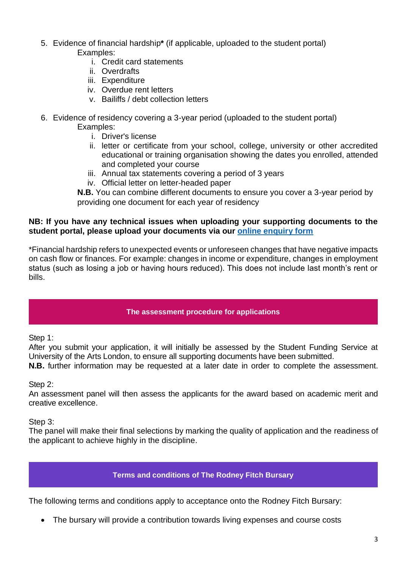- 5. Evidence of financial hardship**\*** (if applicable, uploaded to the student portal) Examples:
	- i. Credit card statements
	- ii. Overdrafts
	- iii. Expenditure
	- iv. Overdue rent letters
	- v. Bailiffs / debt collection letters
- 6. Evidence of residency covering a 3-year period (uploaded to the student portal) Examples:
	- i. Driver's license
	- ii. letter or certificate from your school, college, university or other accredited educational or training organisation showing the dates you enrolled, attended and completed your course
	- iii. Annual tax statements covering a period of 3 years
	- iv. Official letter on letter-headed paper

**N.B.** You can combine different documents to ensure you cover a 3-year period by providing one document for each year of residency

#### **NB: If you have any technical issues when uploading your supporting documents to the student portal, please upload your documents via our [online enquiry form](https://forms.arts.ac.uk/funding-student-enquiry-form/)**

\*Financial hardship refers to unexpected events or unforeseen changes that have negative impacts on cash flow or finances. For example: changes in income or expenditure, changes in employment status (such as losing a job or having hours reduced). This does not include last month's rent or bills.

#### **The assessment procedure for applications**

Step 1:

After you submit your application, it will initially be assessed by the Student Funding Service at University of the Arts London, to ensure all supporting documents have been submitted.

**N.B.** further information may be requested at a later date in order to complete the assessment.

Step 2:

An assessment panel will then assess the applicants for the award based on academic merit and creative excellence.

Step 3:

The panel will make their final selections by marking the quality of application and the readiness of the applicant to achieve highly in the discipline.

#### **Terms and conditions of The Rodney Fitch Bursary**

The following terms and conditions apply to acceptance onto the Rodney Fitch Bursary:

• The bursary will provide a contribution towards living expenses and course costs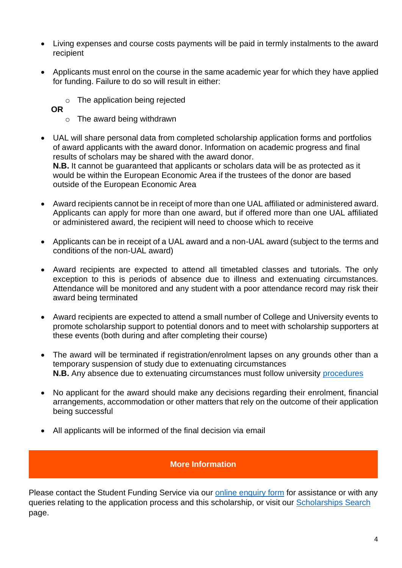- Living expenses and course costs payments will be paid in termly instalments to the award recipient
- Applicants must enrol on the course in the same academic year for which they have applied for funding. Failure to do so will result in either:
	- o The application being rejected
	- **OR** 
		- o The award being withdrawn
- UAL will share personal data from completed scholarship application forms and portfolios of award applicants with the award donor. Information on academic progress and final results of scholars may be shared with the award donor. **N.B.** It cannot be guaranteed that applicants or scholars data will be as protected as it would be within the European Economic Area if the trustees of the donor are based outside of the European Economic Area
- Award recipients cannot be in receipt of more than one UAL affiliated or administered award. Applicants can apply for more than one award, but if offered more than one UAL affiliated or administered award, the recipient will need to choose which to receive
- Applicants can be in receipt of a UAL award and a non-UAL award (subject to the terms and conditions of the non-UAL award)
- Award recipients are expected to attend all timetabled classes and tutorials. The only exception to this is periods of absence due to illness and extenuating circumstances. Attendance will be monitored and any student with a poor attendance record may risk their award being terminated
- Award recipients are expected to attend a small number of College and University events to promote scholarship support to potential donors and to meet with scholarship supporters at these events (both during and after completing their course)
- The award will be terminated if registration/enrolment lapses on any grounds other than a temporary suspension of study due to extenuating circumstances **N.B.** Any absence due to extenuating circumstances must follow university [procedures](https://www.arts.ac.uk/study-at-ual/academic-regulations/course-regulations/extenuating-circumstances-and-time-out)
- No applicant for the award should make any decisions regarding their enrolment, financial arrangements, accommodation or other matters that rely on the outcome of their application being successful
- All applicants will be informed of the final decision via email

#### **More Information**

Please contact the Student Funding Service via our [online enquiry form](https://forms.arts.ac.uk/funding-student-enquiry-form/) for assistance or with any queries relating to the application process and this scholarship, or visit our [Scholarships Search](http://www.arts.ac.uk/study-at-ual/student-fees--funding/scholarships-search/) page.